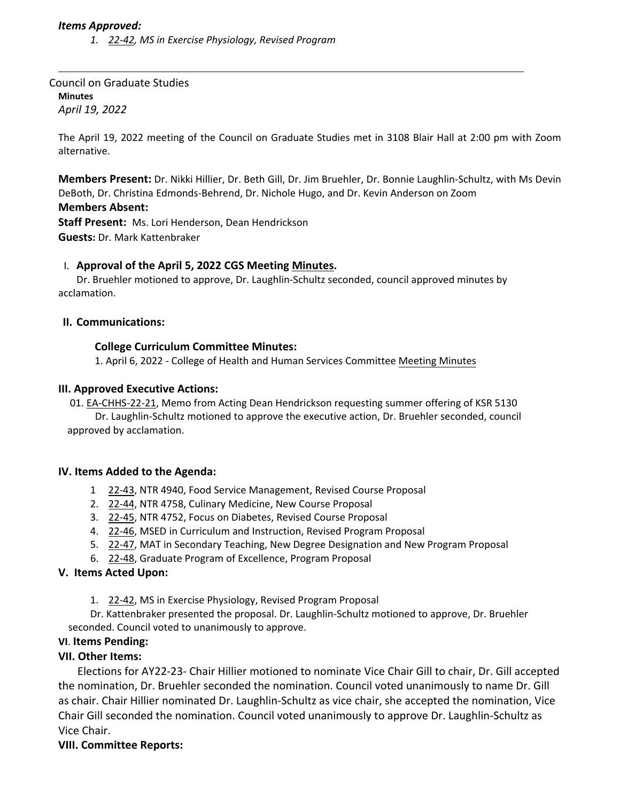### *Items Approved:*

*1. 22‐[42,](https://castle.eiu.edu/eiucgs/currentagendaitems/agenda22-42.pdf) MS in Exercise Physiology, Revised Program*

Council on Graduate Studies **Minutes** *April 19, 2022*

The April 19, 2022 meeting of the Council on Graduate Studies met in 3108 Blair Hall at 2:00 pm with Zoom alternative.

**Members Present:** Dr. Nikki Hillier, Dr. Beth Gill, Dr. Jim Bruehler, Dr. Bonnie Laughlin‐Schultz, with Ms Devin DeBoth, Dr. Christina Edmonds‐Behrend, Dr. Nichole Hugo, and Dr. Kevin Anderson on Zoom

#### **Members Absent:**

**Staff Present:** Ms. Lori Henderson, Dean Hendrickson **Guests:** Dr. Mark Kattenbraker

#### I. **Approval of the April 5, 2022 CGS Meeting [Minutes.](https://castle.eiu.edu/eiucgs/currentminutes/Minutes4-5-22.pdf)**

Dr. Bruehler motioned to approve, Dr. Laughlin‐Schultz seconded, council approved minutes by acclamation.

### **II. Communications:**

### **College Curriculum Committee Minutes:**

1. April 6, 2022 ‐ College of Health and Human Services Committee [Meeting](https://pmaileiu-my.sharepoint.com/:w:/r/personal/jemmett_eiu_edu/_layouts/15/doc2.aspx?sourcedoc=%7B783EA2DD-BBD6-44E7-855A-6CEA62B42CDB%7D&file=04-06-21_CHHSCC_Minutes.docx&action=default&mobileredirect=true&cid=685dd707-b16e-4ff5-a767-15e77f0f0b6c) Minutes

#### **III. Approved Executive Actions:**

01. EA‐[CHHS](https://castle.eiu.edu/eiucgs/exec-actions/EA-CHHS-22-21.pdf)‐22‐21, Memo from Acting Dean Hendrickson requesting summer offering of KSR 5130 Dr. Laughlin‐Schultz motioned to approve the executive action, Dr. Bruehler seconded, council approved by acclamation.

#### **IV. Items Added to the Agenda:**

- 1 22‐[43,](https://castle.eiu.edu/eiucgs/currentagendaitems/agenda22-43.pdf) NTR 4940, Food Service Management, Revised Course Proposal
- 2. 22‐[44,](https://castle.eiu.edu/eiucgs/currentagendaitems/agenda22-44.pdf) NTR 4758, Culinary Medicine, New Course Proposal
- 3. 22-[45,](https://castle.eiu.edu/eiucgs/currentagendaitems/agenda22-45.pdf) NTR 4752, Focus on Diabetes, Revised Course Proposal
- 4. 22‐[46,](https://castle.eiu.edu/eiucgs/currentagendaitems/agenda22-46.pdf) MSED in Curriculum and Instruction, Revised Program Proposal
- 5. 22-[47,](https://castle.eiu.edu/eiucgs/currentagendaitems/agenda22-47.pdf) MAT in Secondary Teaching, New Degree Designation and New Program Proposal
- 6. 22-[48,](https://castle.eiu.edu/eiucgs/currentagendaitems/agenda22-48.pdf) Graduate Program of Excellence, Program Proposal

# **V. Items Acted Upon:**

1. 22-[42,](https://castle.eiu.edu/eiucgs/currentagendaitems/agenda22-42.pdf) MS in Exercise Physiology, Revised Program Proposal

Dr. Kattenbraker presented the proposal. Dr. Laughlin‐Schultz motioned to approve, Dr. Bruehler seconded. Council voted to unanimously to approve.

# **VI**. **Items Pending:**

# **VII. Other Items:**

Elections for AY22‐23‐ Chair Hillier motioned to nominate Vice Chair Gill to chair, Dr. Gill accepted the nomination, Dr. Bruehler seconded the nomination. Council voted unanimously to name Dr. Gill as chair. Chair Hillier nominated Dr. Laughlin‐Schultz as vice chair, she accepted the nomination, Vice Chair Gill seconded the nomination. Council voted unanimously to approve Dr. Laughlin‐Schultz as Vice Chair.

# **VIII. Committee Reports:**